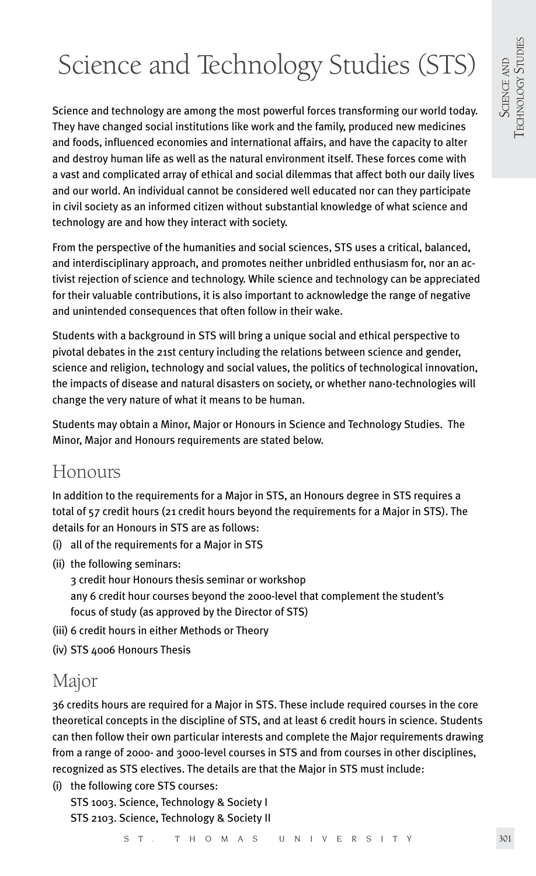# Science and Technology Studies (STS)

Science and technology are among the most powerful forces transforming our world today. They have changed social institutions like work and the family, produced new medicines and foods, influenced economies and international affairs, and have the capacity to alter and destroy human life as well as the natural environment itself. These forces come with a vast and complicated array of ethical and social dilemmas that affect both our daily lives and our world. An individual cannot be considered well educated nor can they participate in civil society as an informed citizen without substantial knowledge of what science and technology are and how they interact with society.

From the perspective of the humanities and social sciences, STS uses a critical, balanced, and interdisciplinary approach, and promotes neither unbridled enthusiasm for, nor an activist rejection of science and technology. While science and technology can be appreciated for their valuable contributions, it is also important to acknowledge the range of negative and unintended consequences that often follow in their wake.

Students with a background in STS will bring a unique social and ethical perspective to pivotal debates in the 21st century including the relations between science and gender, science and religion, technology and social values, the politics of technological innovation, the impacts of disease and natural disasters on society, or whether nano-technologies will change the very nature of what it means to be human.

Students may obtain a Minor, Major or Honours in Science and Technology Studies. The Minor, Major and Honours requirements are stated below.

### Honours

In addition to the requirements for a Major in STS, an Honours degree in STS requires a total of 57 credit hours (21 credit hours beyond the requirements for a Major in STS). The details for an Honours in STS are as follows:

- (i) all of the requirements for a Major in STS
- (ii) the following seminars:
	- 3 credit hour Honours thesis seminar or workshop any 6 credit hour courses beyond the 2000-level that complement the student's focus of study (as approved by the Director of STS)
- (iii) 6 credit hours in either Methods or Theory
- (iv) STS 4006 Honours Thesis

# Major

36 credits hours are required for a Major in STS. These include required courses in the core theoretical concepts in the discipline of STS, and at least 6 credit hours in science. Students can then follow their own particular interests and complete the Major requirements drawing from a range of 2000- and 3000-level courses in STS and from courses in other disciplines, recognized as STS electives. The details are that the Major in STS must include:

(i) the following core STS courses: STS 1003. Science, Technology & Society I STS 2103. Science, Technology & Society II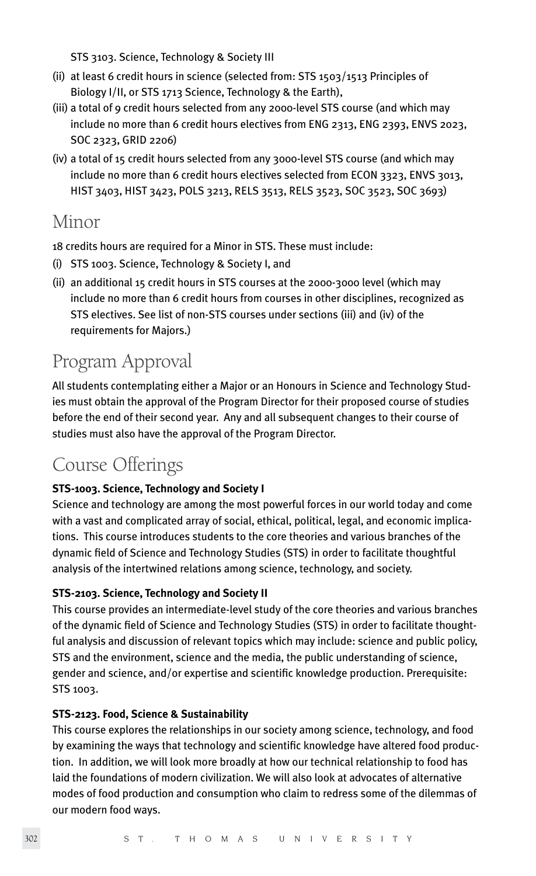STS 3103. Science, Technology & Society III

- (ii) at least 6 credit hours in science (selected from: STS 1503/1513 Principles of Biology I/II, or STS 1713 Science, Technology & the Earth),
- (iii) a total of 9 credit hours selected from any 2000-level STS course (and which may include no more than 6 credit hours electives from ENG 2313, ENG 2393, ENVS 2023, SOC 2323, GRID 2206)
- (iv) a total of 15 credit hours selected from any 3000-level STS course (and which may include no more than 6 credit hours electives selected from ECON 3323, ENVS 3013, HIST 3403, HIST 3423, POLS 3213, RELS 3513, RELS 3523, SOC 3523, SOC 3693)

## Minor

18 credits hours are required for a Minor in STS. These must include:

- (i) STS 1003. Science, Technology & Society I, and
- (ii) an additional 15 credit hours in STS courses at the 2000-3000 level (which may include no more than 6 credit hours from courses in other disciplines, recognized as STS electives. See list of non-STS courses under sections (iii) and (iv) of the requirements for Majors.)

# Program Approval

All students contemplating either a Major or an Honours in Science and Technology Studies must obtain the approval of the Program Director for their proposed course of studies before the end of their second year. Any and all subsequent changes to their course of studies must also have the approval of the Program Director.

# Course Offerings

#### **STS-1003. Science, Technology and Society I**

Science and technology are among the most powerful forces in our world today and come with a vast and complicated array of social, ethical, political, legal, and economic implications. This course introduces students to the core theories and various branches of the dynamic field of Science and Technology Studies (STS) in order to facilitate thoughtful analysis of the intertwined relations among science, technology, and society.

#### **STS-2103. Science, Technology and Society II**

This course provides an intermediate-level study of the core theories and various branches of the dynamic field of Science and Technology Studies (STS) in order to facilitate thoughtful analysis and discussion of relevant topics which may include: science and public policy, STS and the environment, science and the media, the public understanding of science, gender and science, and/or expertise and scientific knowledge production. Prerequisite: STS 1003.

#### **STS-2123. Food, Science & Sustainability**

This course explores the relationships in our society among science, technology, and food by examining the ways that technology and scientific knowledge have altered food production. In addition, we will look more broadly at how our technical relationship to food has laid the foundations of modern civilization. We will also look at advocates of alternative modes of food production and consumption who claim to redress some of the dilemmas of our modern food ways.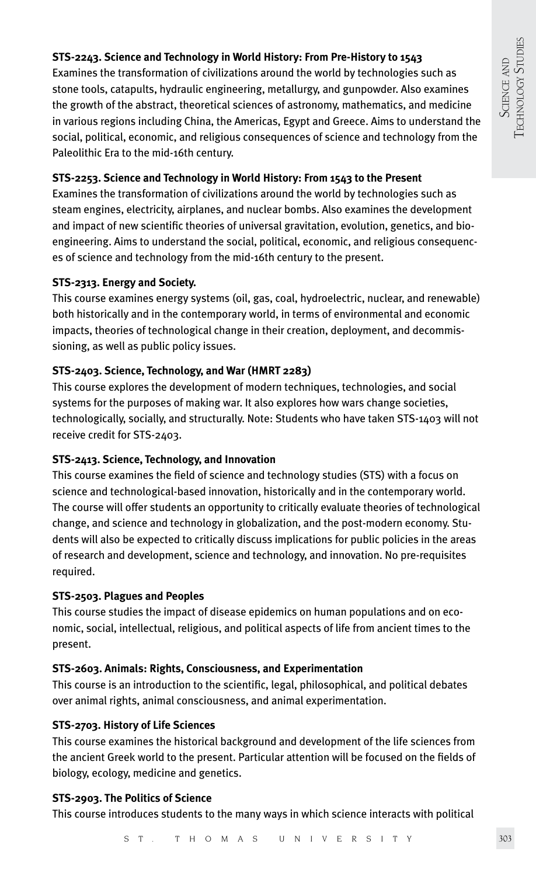#### **STS-2243. Science and Technology in World History: From Pre-History to 1543**

Examines the transformation of civilizations around the world by technologies such as stone tools, catapults, hydraulic engineering, metallurgy, and gunpowder. Also examines the growth of the abstract, theoretical sciences of astronomy, mathematics, and medicine in various regions including China, the Americas, Egypt and Greece. Aims to understand the social, political, economic, and religious consequences of science and technology from the Paleolithic Era to the mid-16th century.

#### **STS-2253. Science and Technology in World History: From 1543 to the Present**

Examines the transformation of civilizations around the world by technologies such as steam engines, electricity, airplanes, and nuclear bombs. Also examines the development and impact of new scientific theories of universal gravitation, evolution, genetics, and bioengineering. Aims to understand the social, political, economic, and religious consequences of science and technology from the mid-16th century to the present.

#### **STS-2313. Energy and Society.**

This course examines energy systems (oil, gas, coal, hydroelectric, nuclear, and renewable) both historically and in the contemporary world, in terms of environmental and economic impacts, theories of technological change in their creation, deployment, and decommissioning, as well as public policy issues.

#### **STS-2403. Science, Technology, and War (HMRT 2283)**

This course explores the development of modern techniques, technologies, and social systems for the purposes of making war. It also explores how wars change societies, technologically, socially, and structurally. Note: Students who have taken STS-1403 will not receive credit for STS-2403.

#### **STS-2413. Science, Technology, and Innovation**

This course examines the field of science and technology studies (STS) with a focus on science and technological-based innovation, historically and in the contemporary world. The course will offer students an opportunity to critically evaluate theories of technological change, and science and technology in globalization, and the post-modern economy. Students will also be expected to critically discuss implications for public policies in the areas of research and development, science and technology, and innovation. No pre-requisites required.

#### **STS-2503. Plagues and Peoples**

This course studies the impact of disease epidemics on human populations and on economic, social, intellectual, religious, and political aspects of life from ancient times to the present.

#### **STS-2603. Animals: Rights, Consciousness, and Experimentation**

This course is an introduction to the scientific, legal, philosophical, and political debates over animal rights, animal consciousness, and animal experimentation.

#### **STS-2703. History of Life Sciences**

This course examines the historical background and development of the life sciences from the ancient Greek world to the present. Particular attention will be focused on the fields of biology, ecology, medicine and genetics.

#### **STS-2903. The Politics of Science**

This course introduces students to the many ways in which science interacts with political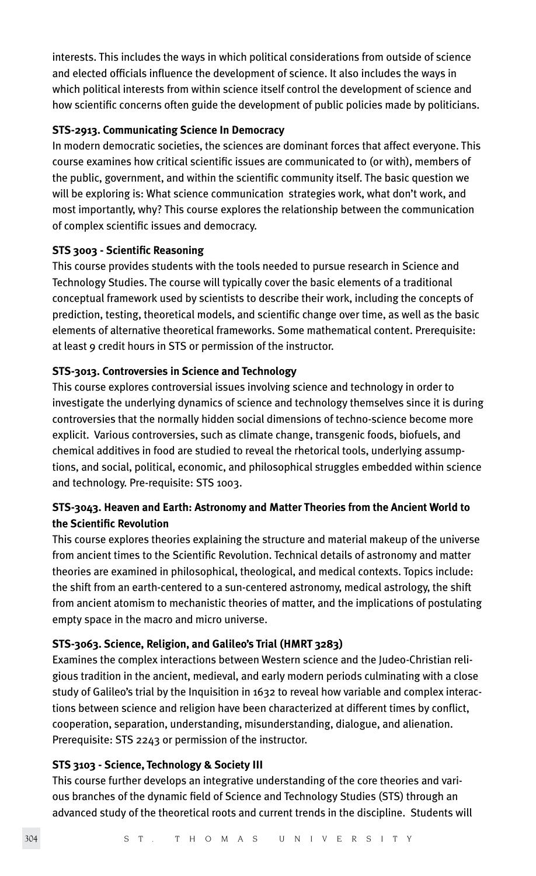interests. This includes the ways in which political considerations from outside of science and elected officials influence the development of science. It also includes the ways in which political interests from within science itself control the development of science and how scientific concerns often guide the development of public policies made by politicians.

#### **STS-2913. Communicating Science In Democracy**

In modern democratic societies, the sciences are dominant forces that affect everyone. This course examines how critical scientific issues are communicated to (or with), members of the public, government, and within the scientific community itself. The basic question we will be exploring is: What science communication strategies work, what don't work, and most importantly, why? This course explores the relationship between the communication of complex scientific issues and democracy.

#### **STS 3003 - Scientific Reasoning**

This course provides students with the tools needed to pursue research in Science and Technology Studies. The course will typically cover the basic elements of a traditional conceptual framework used by scientists to describe their work, including the concepts of prediction, testing, theoretical models, and scientific change over time, as well as the basic elements of alternative theoretical frameworks. Some mathematical content. Prerequisite: at least 9 credit hours in STS or permission of the instructor.

#### **STS-3013. Controversies in Science and Technology**

This course explores controversial issues involving science and technology in order to investigate the underlying dynamics of science and technology themselves since it is during controversies that the normally hidden social dimensions of techno-science become more explicit. Various controversies, such as climate change, transgenic foods, biofuels, and chemical additives in food are studied to reveal the rhetorical tools, underlying assumptions, and social, political, economic, and philosophical struggles embedded within science and technology. Pre-requisite: STS 1003.

#### **STS-3043. Heaven and Earth: Astronomy and Matter Theories from the Ancient World to the Scientific Revolution**

This course explores theories explaining the structure and material makeup of the universe from ancient times to the Scientific Revolution. Technical details of astronomy and matter theories are examined in philosophical, theological, and medical contexts. Topics include: the shift from an earth-centered to a sun-centered astronomy, medical astrology, the shift from ancient atomism to mechanistic theories of matter, and the implications of postulating empty space in the macro and micro universe.

#### **STS-3063. Science, Religion, and Galileo's Trial (HMRT 3283)**

Examines the complex interactions between Western science and the Judeo-Christian religious tradition in the ancient, medieval, and early modern periods culminating with a close study of Galileo's trial by the Inquisition in 1632 to reveal how variable and complex interactions between science and religion have been characterized at different times by conflict, cooperation, separation, understanding, misunderstanding, dialogue, and alienation. Prerequisite: STS 2243 or permission of the instructor.

#### **STS 3103 - Science, Technology & Society III**

This course further develops an integrative understanding of the core theories and various branches of the dynamic field of Science and Technology Studies (STS) through an advanced study of the theoretical roots and current trends in the discipline. Students will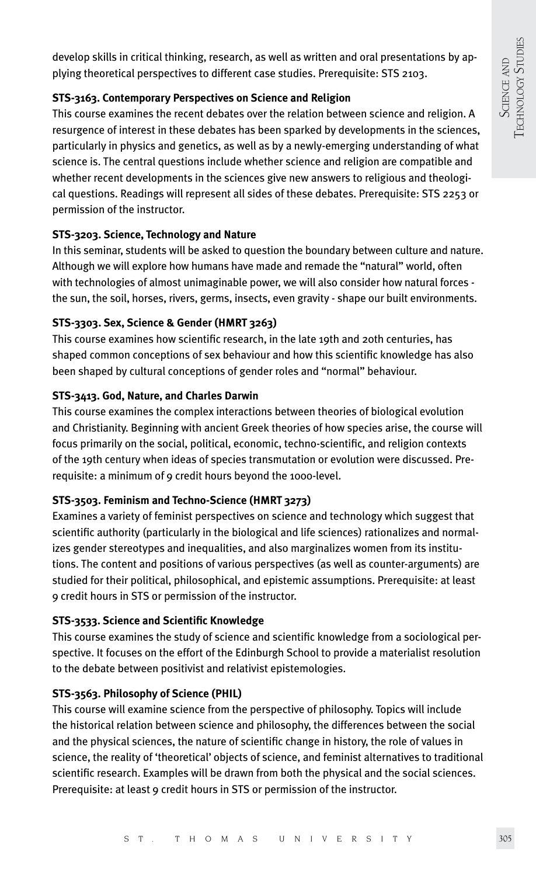develop skills in critical thinking, research, as well as written and oral presentations by applying theoretical perspectives to different case studies. Prerequisite: STS 2103.

#### **STS-3163. Contemporary Perspectives on Science and Religion**

This course examines the recent debates over the relation between science and religion. A resurgence of interest in these debates has been sparked by developments in the sciences, particularly in physics and genetics, as well as by a newly-emerging understanding of what science is. The central questions include whether science and religion are compatible and whether recent developments in the sciences give new answers to religious and theological questions. Readings will represent all sides of these debates. Prerequisite: STS 2253 or permission of the instructor.

#### **STS-3203. Science, Technology and Nature**

In this seminar, students will be asked to question the boundary between culture and nature. Although we will explore how humans have made and remade the "natural" world, often with technologies of almost unimaginable power, we will also consider how natural forces the sun, the soil, horses, rivers, germs, insects, even gravity - shape our built environments.

#### **STS-3303. Sex, Science & Gender (HMRT 3263)**

This course examines how scientific research, in the late 19th and 20th centuries, has shaped common conceptions of sex behaviour and how this scientific knowledge has also been shaped by cultural conceptions of gender roles and "normal" behaviour.

#### **STS-3413. God, Nature, and Charles Darwin**

This course examines the complex interactions between theories of biological evolution and Christianity. Beginning with ancient Greek theories of how species arise, the course will focus primarily on the social, political, economic, techno-scientific, and religion contexts of the 19th century when ideas of species transmutation or evolution were discussed. Prerequisite: a minimum of 9 credit hours beyond the 1000-level.

#### **STS-3503. Feminism and Techno-Science (HMRT 3273)**

Examines a variety of feminist perspectives on science and technology which suggest that scientific authority (particularly in the biological and life sciences) rationalizes and normalizes gender stereotypes and inequalities, and also marginalizes women from its institutions. The content and positions of various perspectives (as well as counter-arguments) are studied for their political, philosophical, and epistemic assumptions. Prerequisite: at least 9 credit hours in STS or permission of the instructor.

#### **STS-3533. Science and Scientific Knowledge**

This course examines the study of science and scientific knowledge from a sociological perspective. It focuses on the effort of the Edinburgh School to provide a materialist resolution to the debate between positivist and relativist epistemologies.

#### **STS-3563. Philosophy of Science (PHIL)**

This course will examine science from the perspective of philosophy. Topics will include the historical relation between science and philosophy, the differences between the social and the physical sciences, the nature of scientific change in history, the role of values in science, the reality of 'theoretical' objects of science, and feminist alternatives to traditional scientific research. Examples will be drawn from both the physical and the social sciences. Prerequisite: at least 9 credit hours in STS or permission of the instructor.